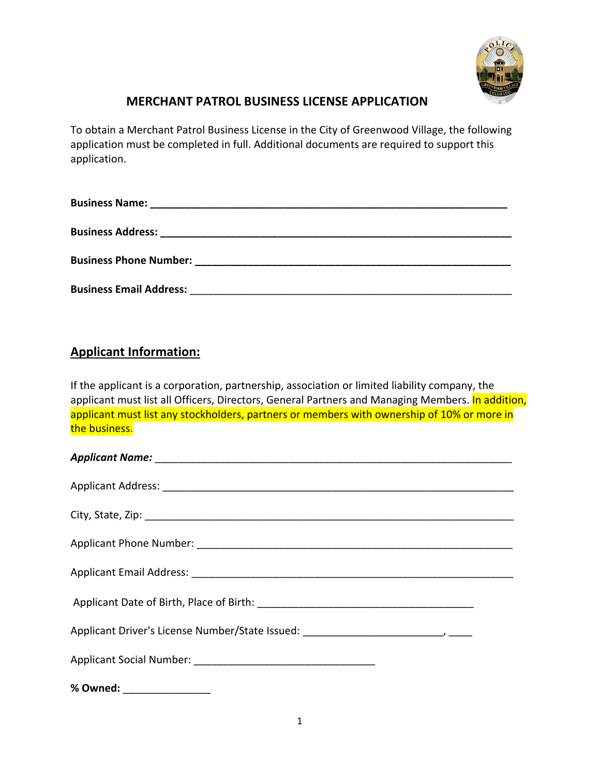

## **MERCHANT PATROL BUSINESS LICENSE APPLICATION**

To obtain a Merchant Patrol Business License in the City of Greenwood Village, the following application must be completed in full. Additional documents are required to support this application.

| <b>Business Name:</b>                                                                                                                                                                                                                |
|--------------------------------------------------------------------------------------------------------------------------------------------------------------------------------------------------------------------------------------|
| Business Address: 2008 2010 2021 2022 2023 2024 2022 2022 2023 2024 2022 2023 2024 2022 2023 2024 2025 2026 20                                                                                                                       |
| <b>Business Phone Number: Example 2018 19:30 Phone 20:30 Phone 20:30 Phone 20:30 Phone 20:30 Phone 20:30 Phone 20:30 Phone 20:30 Phone 20:30 Phone 20:30 Phone 20:30 Phone 20:30 Phone 20:30 Phone 20:30 Phone 20:30 Phone 20:30</b> |
| <b>Business Email Address:</b>                                                                                                                                                                                                       |

# **Applicant Information:**

If the applicant is a corporation, partnership, association or limited liability company, the applicant must list all Officers, Directors, General Partners and Managing Members. In addition, applicant must list any stockholders, partners or members with ownership of 10% or more in the business.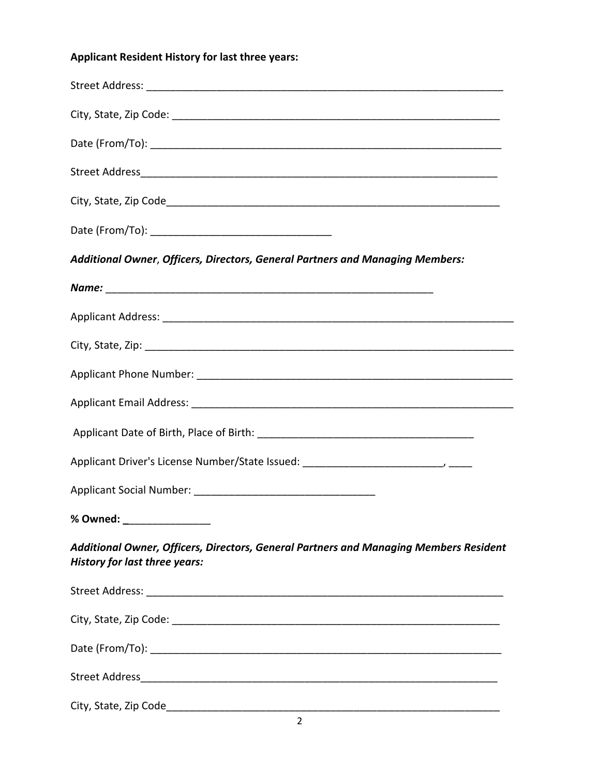# **Applicant Resident History for last three years:**

| Additional Owner, Officers, Directors, General Partners and Managing Members:                                                 |
|-------------------------------------------------------------------------------------------------------------------------------|
|                                                                                                                               |
|                                                                                                                               |
|                                                                                                                               |
|                                                                                                                               |
|                                                                                                                               |
|                                                                                                                               |
|                                                                                                                               |
|                                                                                                                               |
| % Owned: _________________                                                                                                    |
| Additional Owner, Officers, Directors, General Partners and Managing Members Resident<br><b>History for last three years:</b> |
|                                                                                                                               |
|                                                                                                                               |
|                                                                                                                               |
|                                                                                                                               |
|                                                                                                                               |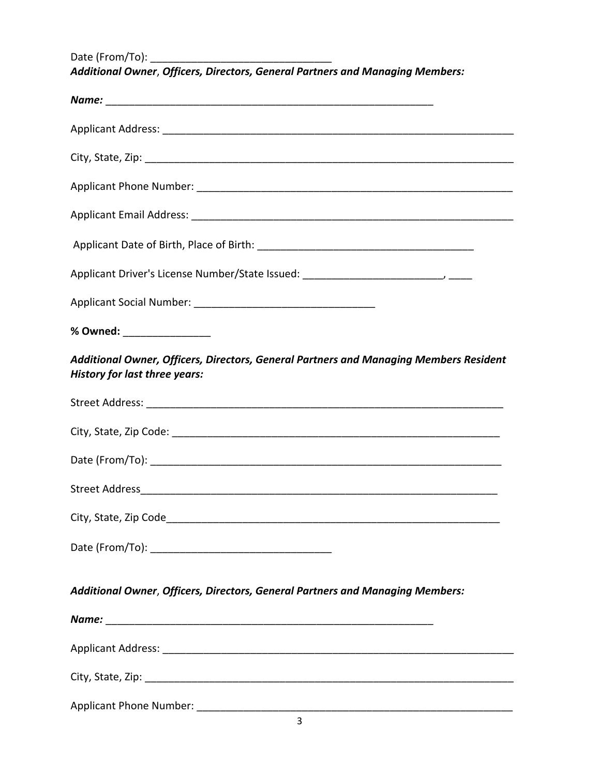Date (From/To): \_\_\_\_\_\_\_\_\_\_\_\_\_\_\_\_\_\_\_\_\_\_\_\_\_\_\_\_\_\_\_

*Additional Owner*, *Officers, Directors, General Partners and Managing Members:*

| % Owned: _________________                                                                                                    |
|-------------------------------------------------------------------------------------------------------------------------------|
| Additional Owner, Officers, Directors, General Partners and Managing Members Resident<br><b>History for last three years:</b> |
|                                                                                                                               |
|                                                                                                                               |
|                                                                                                                               |
|                                                                                                                               |
|                                                                                                                               |
|                                                                                                                               |
| Additional Owner, Officers, Directors, General Partners and Managing Members:                                                 |
|                                                                                                                               |
|                                                                                                                               |
|                                                                                                                               |
|                                                                                                                               |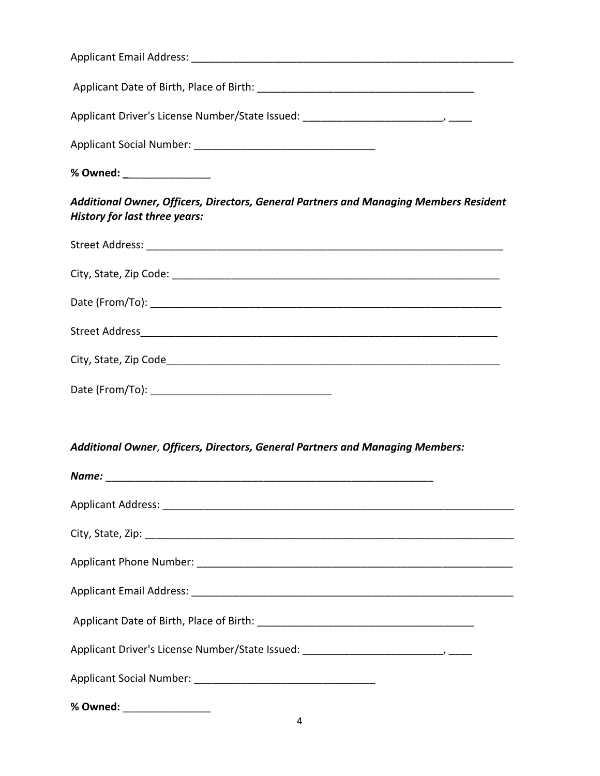| % Owned: _________________                                                                                                    |
|-------------------------------------------------------------------------------------------------------------------------------|
| Additional Owner, Officers, Directors, General Partners and Managing Members Resident<br><b>History for last three years:</b> |
|                                                                                                                               |
|                                                                                                                               |
|                                                                                                                               |
|                                                                                                                               |
|                                                                                                                               |
|                                                                                                                               |
|                                                                                                                               |
| Additional Owner, Officers, Directors, General Partners and Managing Members:                                                 |
|                                                                                                                               |
|                                                                                                                               |
|                                                                                                                               |
|                                                                                                                               |
|                                                                                                                               |
|                                                                                                                               |
|                                                                                                                               |
|                                                                                                                               |
|                                                                                                                               |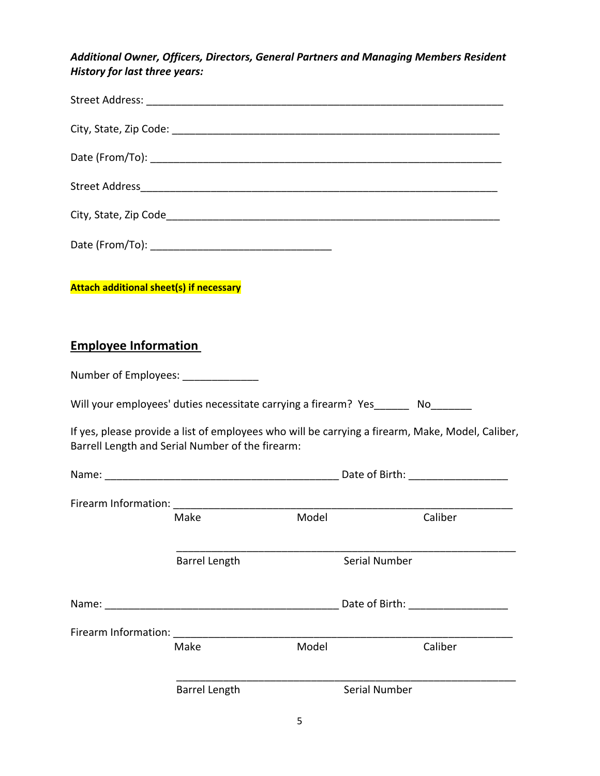*Additional Owner, Officers, Directors, General Partners and Managing Members Resident History for last three years:*

| <b>Attach additional sheet(s) if necessary</b>                                                                                                                                                                                 |                      |       |               |                                                                                                  |
|--------------------------------------------------------------------------------------------------------------------------------------------------------------------------------------------------------------------------------|----------------------|-------|---------------|--------------------------------------------------------------------------------------------------|
| <b>Employee Information</b>                                                                                                                                                                                                    |                      |       |               |                                                                                                  |
| Number of Employees: ______________                                                                                                                                                                                            |                      |       |               |                                                                                                  |
| Will your employees' duties necessitate carrying a firearm? Yes_______ No________                                                                                                                                              |                      |       |               |                                                                                                  |
| Barrell Length and Serial Number of the firearm:                                                                                                                                                                               |                      |       |               | If yes, please provide a list of employees who will be carrying a firearm, Make, Model, Caliber, |
|                                                                                                                                                                                                                                |                      |       |               |                                                                                                  |
|                                                                                                                                                                                                                                |                      |       |               |                                                                                                  |
|                                                                                                                                                                                                                                | Make                 | Model |               | Caliber                                                                                          |
|                                                                                                                                                                                                                                | <b>Barrel Length</b> |       | Serial Number |                                                                                                  |
|                                                                                                                                                                                                                                |                      |       |               | Date of Birth: The Case of Birth:                                                                |
| Firearm Information: The contract of the contract of the contract of the contract of the contract of the control of the contract of the contract of the contract of the contract of the contract of the contract of the contra |                      | Model |               | Caliber                                                                                          |
|                                                                                                                                                                                                                                | Make                 |       |               |                                                                                                  |
|                                                                                                                                                                                                                                | <b>Barrel Length</b> |       | Serial Number |                                                                                                  |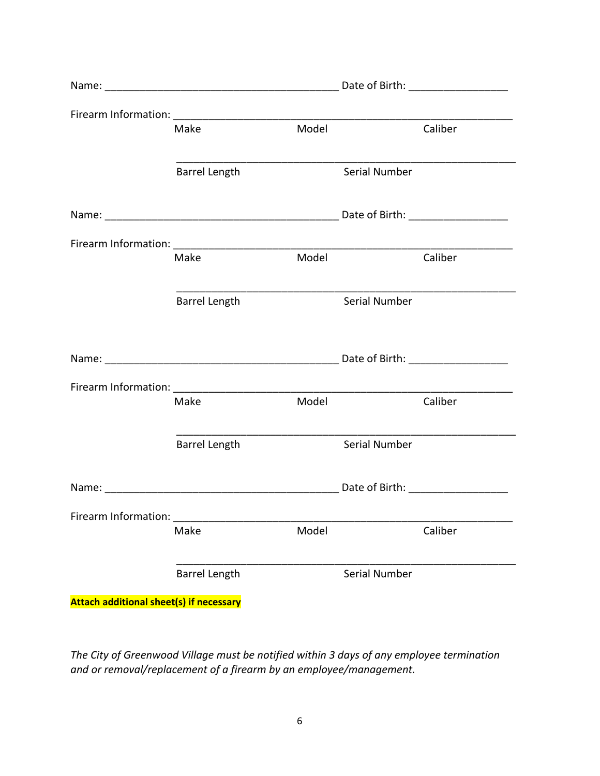|                      | Make                 | Model |               | Caliber                                                     |
|----------------------|----------------------|-------|---------------|-------------------------------------------------------------|
|                      |                      |       |               |                                                             |
|                      | <b>Barrel Length</b> |       | Serial Number |                                                             |
|                      |                      |       |               |                                                             |
|                      |                      |       |               |                                                             |
|                      |                      |       |               |                                                             |
|                      | Make                 | Model |               | Caliber                                                     |
|                      |                      |       |               |                                                             |
|                      | <b>Barrel Length</b> |       | Serial Number |                                                             |
|                      |                      |       |               |                                                             |
|                      |                      |       |               |                                                             |
|                      |                      |       |               |                                                             |
|                      |                      |       |               |                                                             |
|                      | Make                 | Model |               | Caliber                                                     |
|                      |                      |       |               | <u> 1989 - Johann Barbara, martxa al III-lea (h. 1974).</u> |
|                      | <b>Barrel Length</b> |       | Serial Number |                                                             |
|                      |                      |       |               |                                                             |
|                      |                      |       |               |                                                             |
| Firearm Information: |                      |       |               |                                                             |
|                      | Make                 | Model |               | Caliber                                                     |
|                      |                      |       |               |                                                             |
|                      | <b>Barrel Length</b> |       | Serial Number |                                                             |
|                      |                      |       |               |                                                             |

**Attach additional sheet(s) if necessary** 

*The City of Greenwood Village must be notified within 3 days of any employee termination and or removal/replacement of a firearm by an employee/management.*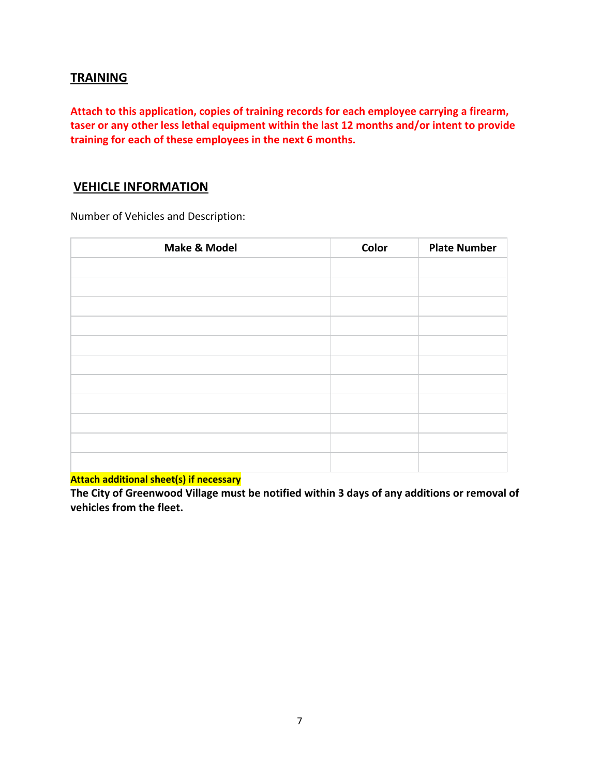#### **TRAINING**

**Attach to this application, copies of training records for each employee carrying a firearm, taser or any other less lethal equipment within the last 12 months and/or intent to provide training for each of these employees in the next 6 months.**

### **VEHICLE INFORMATION**

Number of Vehicles and Description:

| <b>Make &amp; Model</b> | Color | <b>Plate Number</b> |
|-------------------------|-------|---------------------|
|                         |       |                     |
|                         |       |                     |
|                         |       |                     |
|                         |       |                     |
|                         |       |                     |
|                         |       |                     |
|                         |       |                     |
|                         |       |                     |
|                         |       |                     |
|                         |       |                     |
|                         |       |                     |

**Attach additional sheet(s) if necessary** 

**The City of Greenwood Village must be notified within 3 days of any additions or removal of vehicles from the fleet.**